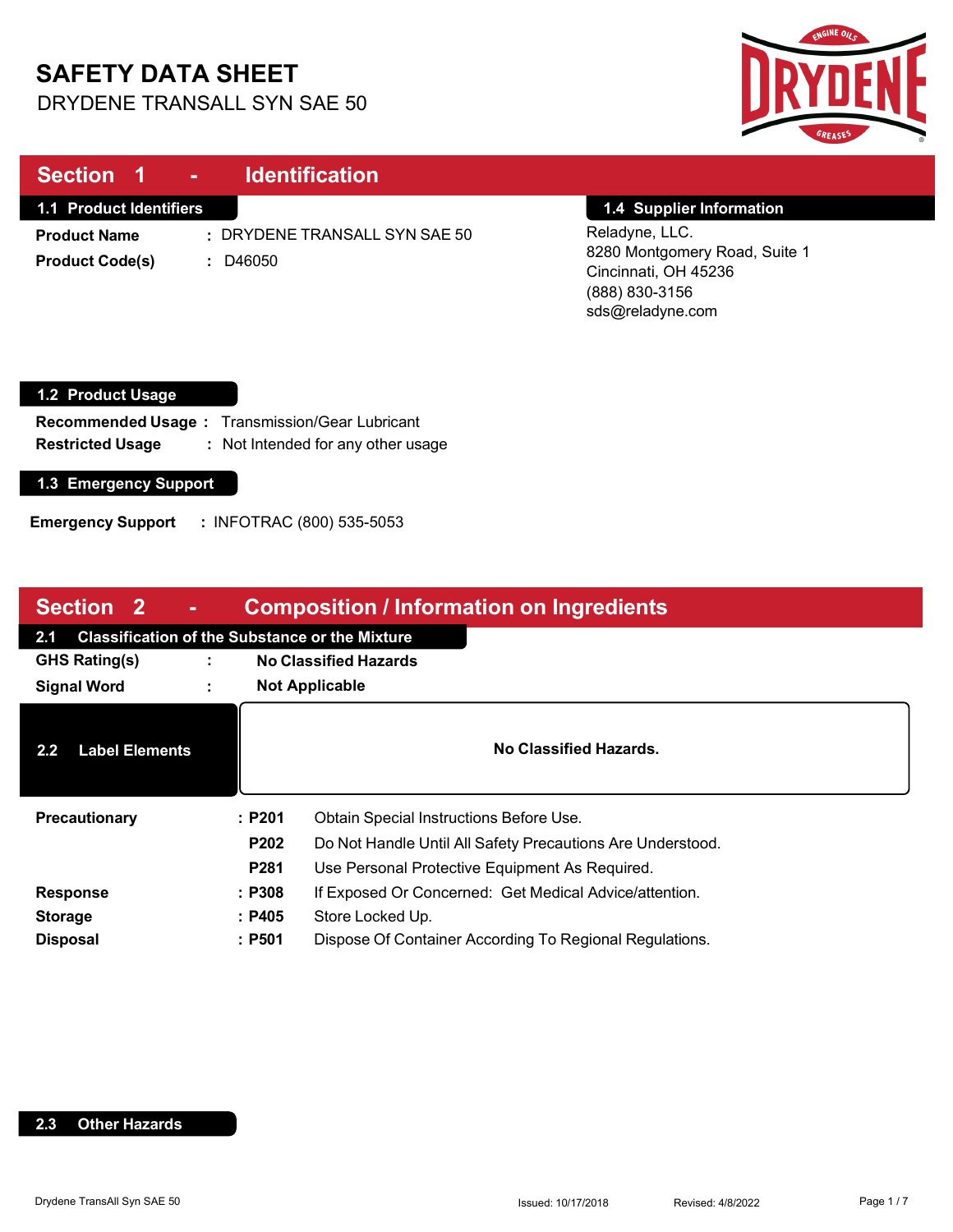# **SAFETY DATA SHEET**

DRYDENE TRANSALL SYN SAE 50



| Section 1                                            | <b>Identification</b><br>$\sim$                                   |                                                                                                               |
|------------------------------------------------------|-------------------------------------------------------------------|---------------------------------------------------------------------------------------------------------------|
| 1.1 Product Identifiers                              |                                                                   | 1.4 Supplier Information                                                                                      |
| <b>Product Name</b><br><b>Product Code(s)</b>        | : DRYDENE TRANSALL SYN SAE 50<br>: D46050                         | Reladyne, LLC.<br>8280 Montgomery Road, Suite 1<br>Cincinnati, OH 45236<br>(888) 830-3156<br>sds@reladyne.com |
| 1.2 Product Usage                                    |                                                                   |                                                                                                               |
| <b>Recommended Usage:</b><br><b>Restricted Usage</b> | Transmission/Gear Lubricant<br>: Not Intended for any other usage |                                                                                                               |
| 1.3 Emergency Support                                |                                                                   |                                                                                                               |
| <b>Emergency Support</b>                             | : INFOTRAC (800) 535-5053                                         |                                                                                                               |

| Section 2<br><b>Composition / Information on Ingredients</b><br>$\sim$ |                       |                                                                  |  |  |
|------------------------------------------------------------------------|-----------------------|------------------------------------------------------------------|--|--|
| <b>Classification of the Substance or the Mixture</b><br>2.1           |                       |                                                                  |  |  |
| <b>GHS Rating(s)</b><br>÷                                              |                       | <b>No Classified Hazards</b>                                     |  |  |
| <b>Signal Word</b><br>÷                                                | <b>Not Applicable</b> |                                                                  |  |  |
| <b>Label Elements</b><br>2.2 <sub>2</sub>                              |                       | No Classified Hazards.                                           |  |  |
| Precautionary                                                          | :P201                 | Obtain Special Instructions Before Use.                          |  |  |
|                                                                        | <b>P202</b>           | Do Not Handle Until All Safety Precautions Are Understood.       |  |  |
|                                                                        |                       | <b>P281</b><br>Use Personal Protective Equipment As Required.    |  |  |
| <b>Response</b>                                                        |                       | If Exposed Or Concerned: Get Medical Advice/attention.<br>: P308 |  |  |
| <b>Storage</b>                                                         | : P405                | Store Locked Up.                                                 |  |  |
| <b>Disposal</b>                                                        | :P501                 | Dispose Of Container According To Regional Regulations.          |  |  |

### **2.3 Other Hazards**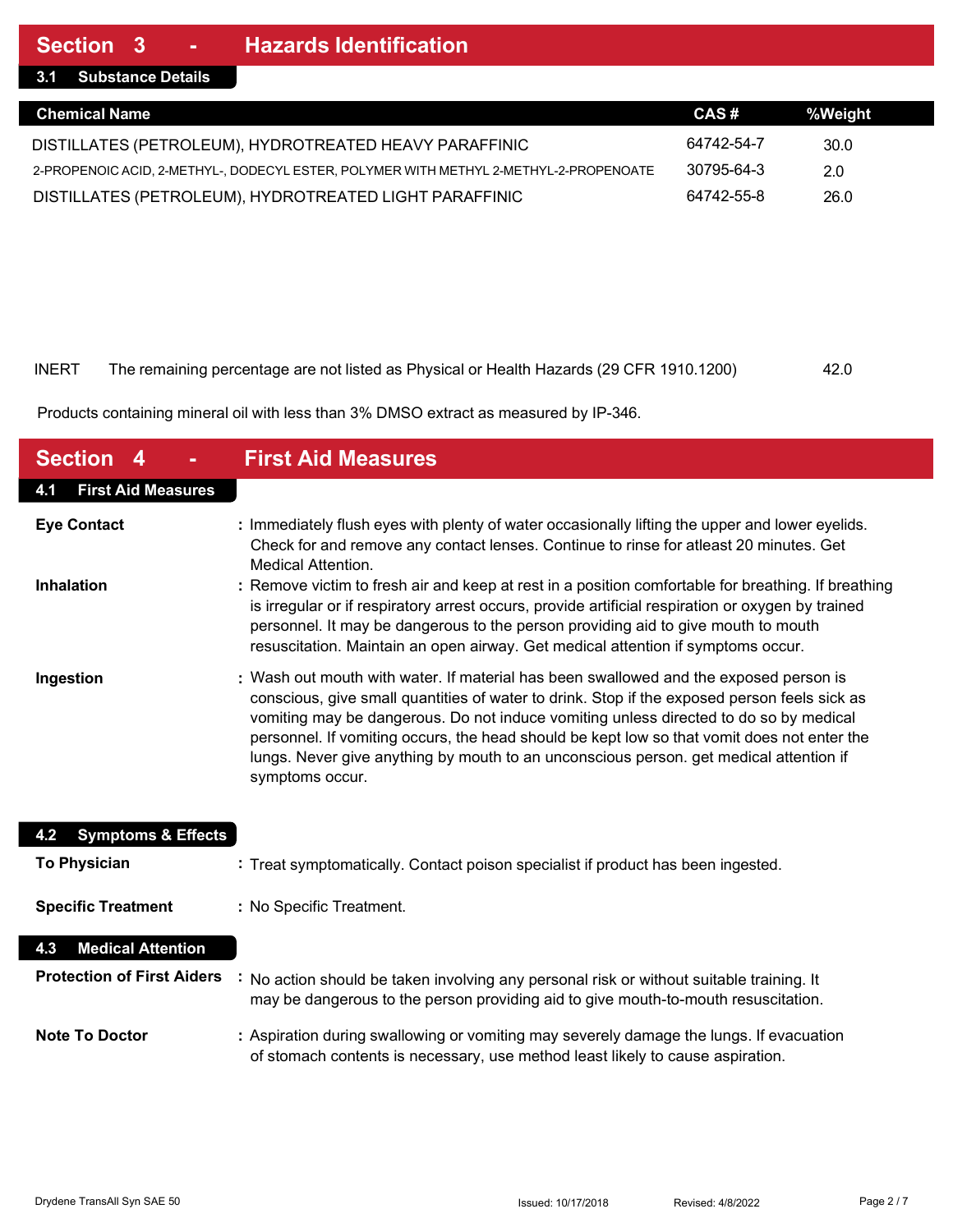**3.1 Substance Details**

| <b>Chemical Name</b>                                                                  | CAS#       | %Weight |  |
|---------------------------------------------------------------------------------------|------------|---------|--|
| DISTILLATES (PETROLEUM), HYDROTREATED HEAVY PARAFFINIC                                | 64742-54-7 | 30.0    |  |
| 2-PROPENOIC ACID, 2-METHYL-, DODECYL ESTER, POLYMER WITH METHYL 2-METHYL-2-PROPENOATE | 30795-64-3 | 2.0     |  |
| DISTILLATES (PETROLEUM), HYDROTREATED LIGHT PARAFFINIC                                | 64742-55-8 | 26.0    |  |

#### INERT The remaining percentage are not listed as Physical or Health Hazards (29 CFR 1910.1200) 42.0

Products containing mineral oil with less than 3% DMSO extract as measured by IP-346.

| <b>Section</b><br>4                  | <b>First Aid Measures</b>                                                                                                                                                                                                                                                                                                                                                                                                                                                                  |
|--------------------------------------|--------------------------------------------------------------------------------------------------------------------------------------------------------------------------------------------------------------------------------------------------------------------------------------------------------------------------------------------------------------------------------------------------------------------------------------------------------------------------------------------|
| <b>First Aid Measures</b><br>4.1     |                                                                                                                                                                                                                                                                                                                                                                                                                                                                                            |
| <b>Eye Contact</b>                   | : Immediately flush eyes with plenty of water occasionally lifting the upper and lower eyelids.<br>Check for and remove any contact lenses. Continue to rinse for atleast 20 minutes. Get<br><b>Medical Attention.</b>                                                                                                                                                                                                                                                                     |
| Inhalation                           | : Remove victim to fresh air and keep at rest in a position comfortable for breathing. If breathing<br>is irregular or if respiratory arrest occurs, provide artificial respiration or oxygen by trained<br>personnel. It may be dangerous to the person providing aid to give mouth to mouth<br>resuscitation. Maintain an open airway. Get medical attention if symptoms occur.                                                                                                          |
| Ingestion                            | : Wash out mouth with water. If material has been swallowed and the exposed person is<br>conscious, give small quantities of water to drink. Stop if the exposed person feels sick as<br>vomiting may be dangerous. Do not induce vomiting unless directed to do so by medical<br>personnel. If vomiting occurs, the head should be kept low so that vomit does not enter the<br>lungs. Never give anything by mouth to an unconscious person. get medical attention if<br>symptoms occur. |
| <b>Symptoms &amp; Effects</b><br>4.2 |                                                                                                                                                                                                                                                                                                                                                                                                                                                                                            |
| <b>To Physician</b>                  | : Treat symptomatically. Contact poison specialist if product has been ingested.                                                                                                                                                                                                                                                                                                                                                                                                           |
| <b>Specific Treatment</b>            | : No Specific Treatment.                                                                                                                                                                                                                                                                                                                                                                                                                                                                   |
| <b>Medical Attention</b><br>4.3      |                                                                                                                                                                                                                                                                                                                                                                                                                                                                                            |
| <b>Protection of First Aiders</b>    | No action should be taken involving any personal risk or without suitable training. It<br>may be dangerous to the person providing aid to give mouth-to-mouth resuscitation.                                                                                                                                                                                                                                                                                                               |
| <b>Note To Doctor</b>                | : Aspiration during swallowing or vomiting may severely damage the lungs. If evacuation<br>of stomach contents is necessary, use method least likely to cause aspiration.                                                                                                                                                                                                                                                                                                                  |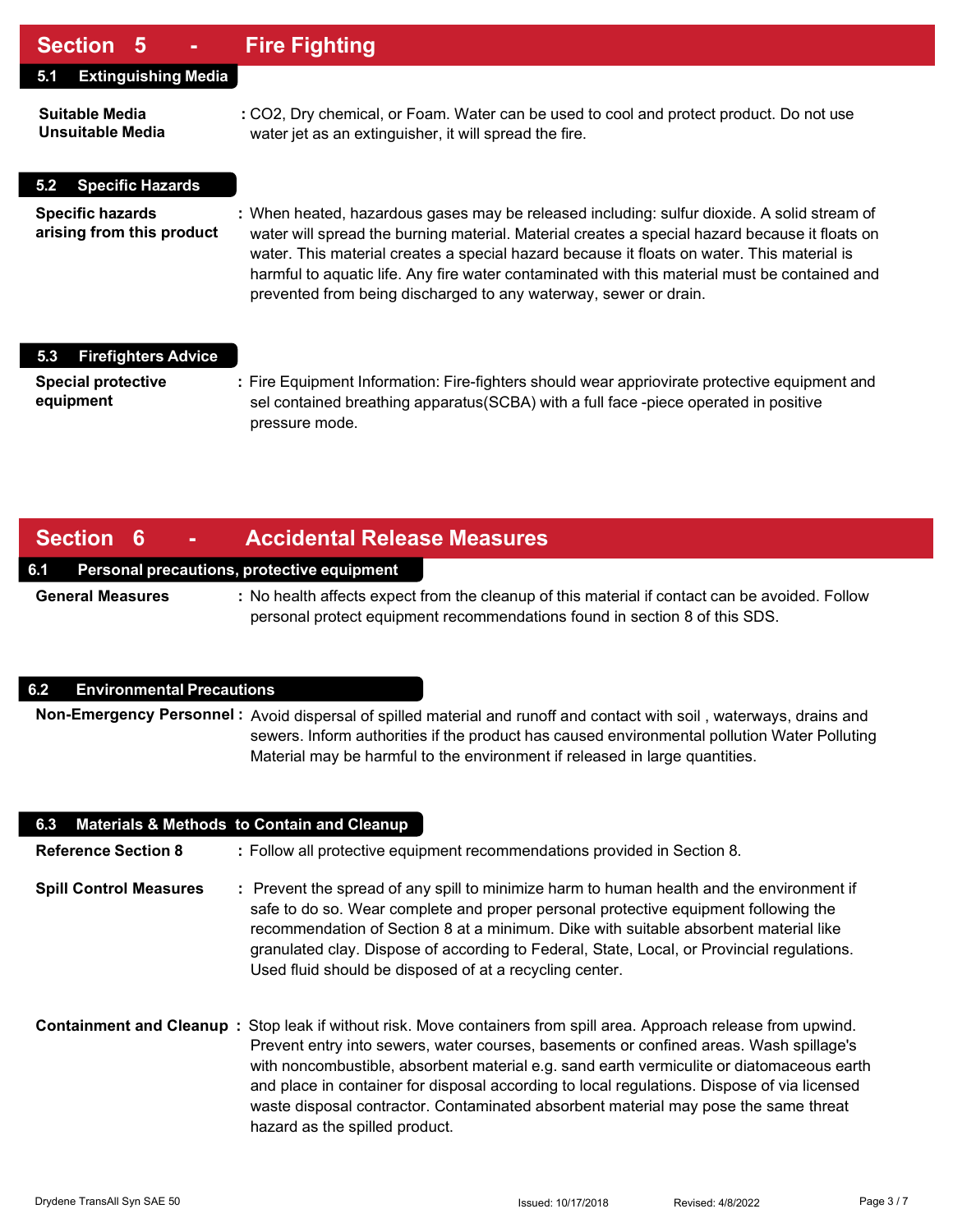### **Section 5 - Fire Fighting**

| UUUNUI V                                             |                                                                                                                                                                                                                                                                                                                                                                                                                                                                  |
|------------------------------------------------------|------------------------------------------------------------------------------------------------------------------------------------------------------------------------------------------------------------------------------------------------------------------------------------------------------------------------------------------------------------------------------------------------------------------------------------------------------------------|
| <b>Extinguishing Media</b><br>5.1                    |                                                                                                                                                                                                                                                                                                                                                                                                                                                                  |
| Suitable Media<br>Unsuitable Media                   | : CO2, Dry chemical, or Foam. Water can be used to cool and protect product. Do not use<br>water jet as an extinguisher, it will spread the fire.                                                                                                                                                                                                                                                                                                                |
| <b>Specific Hazards</b><br>5.2                       |                                                                                                                                                                                                                                                                                                                                                                                                                                                                  |
| <b>Specific hazards</b><br>arising from this product | : When heated, hazardous gases may be released including: sulfur dioxide. A solid stream of<br>water will spread the burning material. Material creates a special hazard because it floats on<br>water. This material creates a special hazard because it floats on water. This material is<br>harmful to aquatic life. Any fire water contaminated with this material must be contained and<br>prevented from being discharged to any waterway, sewer or drain. |
| <b>Firefighters Advice</b><br>5.3                    |                                                                                                                                                                                                                                                                                                                                                                                                                                                                  |
| <b>Special protective</b><br>equipment               | : Fire Equipment Information: Fire-fighters should wear appriovirate protective equipment and<br>sel contained breathing apparatus (SCBA) with a full face -piece operated in positive<br>pressure mode.                                                                                                                                                                                                                                                         |

### **Section 6 - Accidental Release Measures**

#### **6.1 Personal precautions, protective equipment**

**General Measures :** No health affects expect from the cleanup of this material if contact can be avoided. Follow personal protect equipment recommendations found in section 8 of this SDS.

#### **6.2 Environmental Precautions**

**Non-Emergency Personnel :** Avoid dispersal of spilled material and runoff and contact with soil , waterways, drains and sewers. Inform authorities if the product has caused environmental pollution Water Polluting Material may be harmful to the environment if released in large quantities.

| 6.3 Materials & Methods to Contain and Cleanup |                                                                                                                                                                                                                                                                                                                                                                                                                                                                                                                                   |
|------------------------------------------------|-----------------------------------------------------------------------------------------------------------------------------------------------------------------------------------------------------------------------------------------------------------------------------------------------------------------------------------------------------------------------------------------------------------------------------------------------------------------------------------------------------------------------------------|
| <b>Reference Section 8</b>                     | : Follow all protective equipment recommendations provided in Section 8.                                                                                                                                                                                                                                                                                                                                                                                                                                                          |
| <b>Spill Control Measures</b>                  | : Prevent the spread of any spill to minimize harm to human health and the environment if<br>safe to do so. Wear complete and proper personal protective equipment following the<br>recommendation of Section 8 at a minimum. Dike with suitable absorbent material like<br>granulated clay. Dispose of according to Federal, State, Local, or Provincial regulations.<br>Used fluid should be disposed of at a recycling center.                                                                                                 |
|                                                | Containment and Cleanup: Stop leak if without risk. Move containers from spill area. Approach release from upwind.<br>Prevent entry into sewers, water courses, basements or confined areas. Wash spillage's<br>with noncombustible, absorbent material e.g. sand earth vermiculite or diatomaceous earth<br>and place in container for disposal according to local regulations. Dispose of via licensed<br>waste disposal contractor. Contaminated absorbent material may pose the same threat<br>hazard as the spilled product. |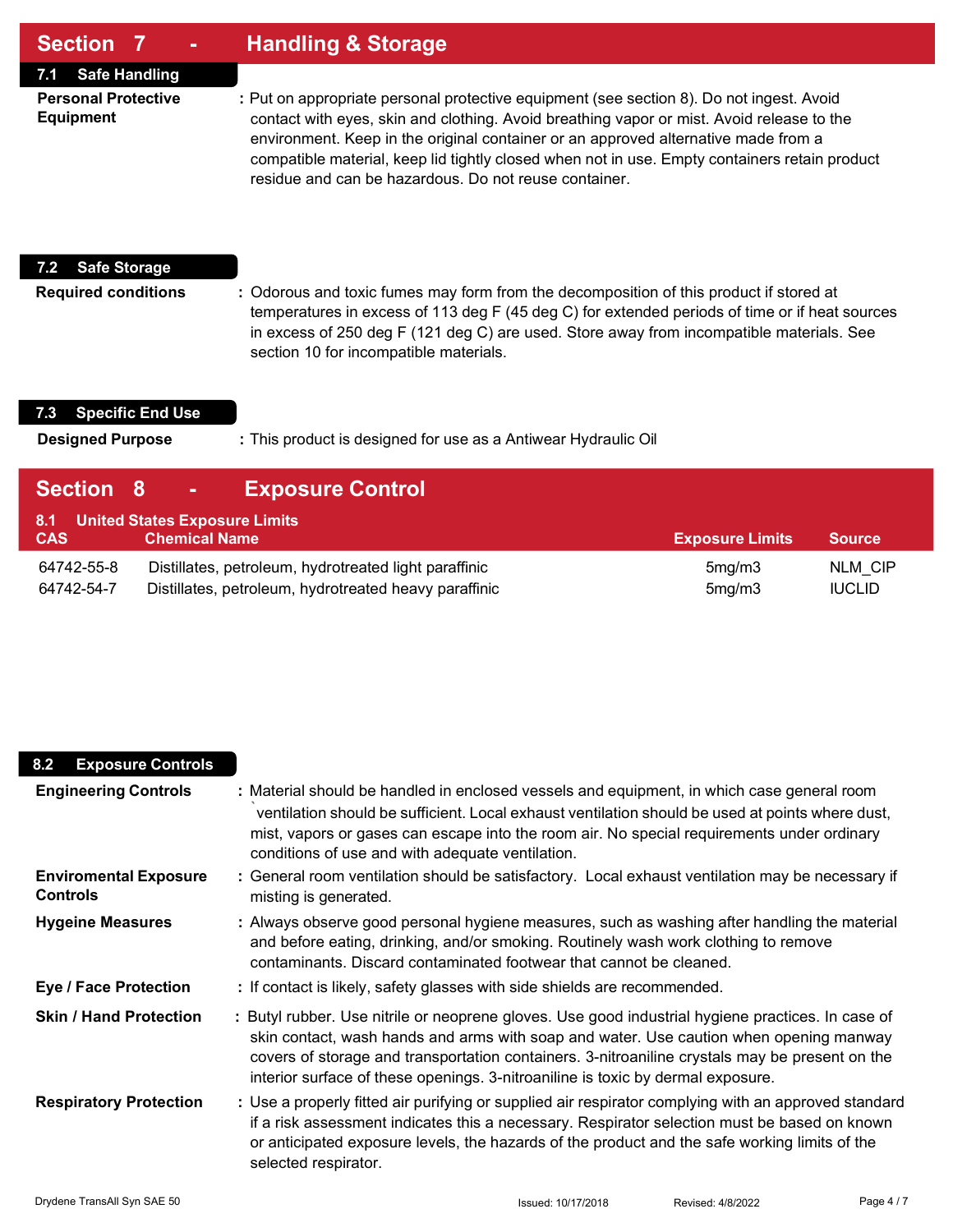### **Section 7 - Handling & Storage**

**7.1 Safe Handling**

**Personal Protective :** Put on appropriate personal protective equipment (see section 8). Do not ingest. Avoid **Equipment** contact with eyes, skin and clothing. Avoid breathing vapor or mist. Avoid release to the environment. Keep in the original container or an approved alternative made from a compatible material, keep lid tightly closed when not in use. Empty containers retain product residue and can be hazardous. Do not reuse container.

#### **7.2 Safe Storage**

**Required conditions :** Odorous and toxic fumes may form from the decomposition of this product if stored at temperatures in excess of 113 deg F (45 deg C) for extended periods of time or if heat sources in excess of 250 deg F (121 deg C) are used. Store away from incompatible materials. See section 10 for incompatible materials.

#### **7.3 Specific End Use**

**Designed Purpose :** This product is designed for use as a Antiwear Hydraulic Oil

| Section 8                | <b>Exposure Control</b><br>$\mathbf{m} \in \mathbb{R}^n$                                                       |                        |                                 |
|--------------------------|----------------------------------------------------------------------------------------------------------------|------------------------|---------------------------------|
| 8.1<br><b>CAS</b>        | <b>United States Exposure Limits</b><br><b>Chemical Name</b>                                                   | <b>Exposure Limits</b> | <b>Source</b>                   |
| 64742-55-8<br>64742-54-7 | Distillates, petroleum, hydrotreated light paraffinic<br>Distillates, petroleum, hydrotreated heavy paraffinic | 5mg/m3<br>5mg/m3       | <b>NLM CIP</b><br><b>IUCLID</b> |

| <b>Exposure Controls</b><br>8.2                 |                                                                                                                                                                                                                                                                                                                                                                                  |
|-------------------------------------------------|----------------------------------------------------------------------------------------------------------------------------------------------------------------------------------------------------------------------------------------------------------------------------------------------------------------------------------------------------------------------------------|
| <b>Engineering Controls</b>                     | : Material should be handled in enclosed vessels and equipment, in which case general room<br>ventilation should be sufficient. Local exhaust ventilation should be used at points where dust,<br>mist, vapors or gases can escape into the room air. No special requirements under ordinary<br>conditions of use and with adequate ventilation.                                 |
| <b>Enviromental Exposure</b><br><b>Controls</b> | : General room ventilation should be satisfactory. Local exhaust ventilation may be necessary if<br>misting is generated.                                                                                                                                                                                                                                                        |
| <b>Hygeine Measures</b>                         | : Always observe good personal hygiene measures, such as washing after handling the material<br>and before eating, drinking, and/or smoking. Routinely wash work clothing to remove<br>contaminants. Discard contaminated footwear that cannot be cleaned.                                                                                                                       |
| <b>Eye / Face Protection</b>                    | : If contact is likely, safety glasses with side shields are recommended.                                                                                                                                                                                                                                                                                                        |
| <b>Skin / Hand Protection</b>                   | : Butyl rubber. Use nitrile or neoprene gloves. Use good industrial hygiene practices. In case of<br>skin contact, wash hands and arms with soap and water. Use caution when opening manway<br>covers of storage and transportation containers. 3-nitroaniline crystals may be present on the<br>interior surface of these openings. 3-nitroaniline is toxic by dermal exposure. |
| <b>Respiratory Protection</b>                   | : Use a properly fitted air purifying or supplied air respirator complying with an approved standard<br>if a risk assessment indicates this a necessary. Respirator selection must be based on known<br>or anticipated exposure levels, the hazards of the product and the safe working limits of the<br>selected respirator.                                                    |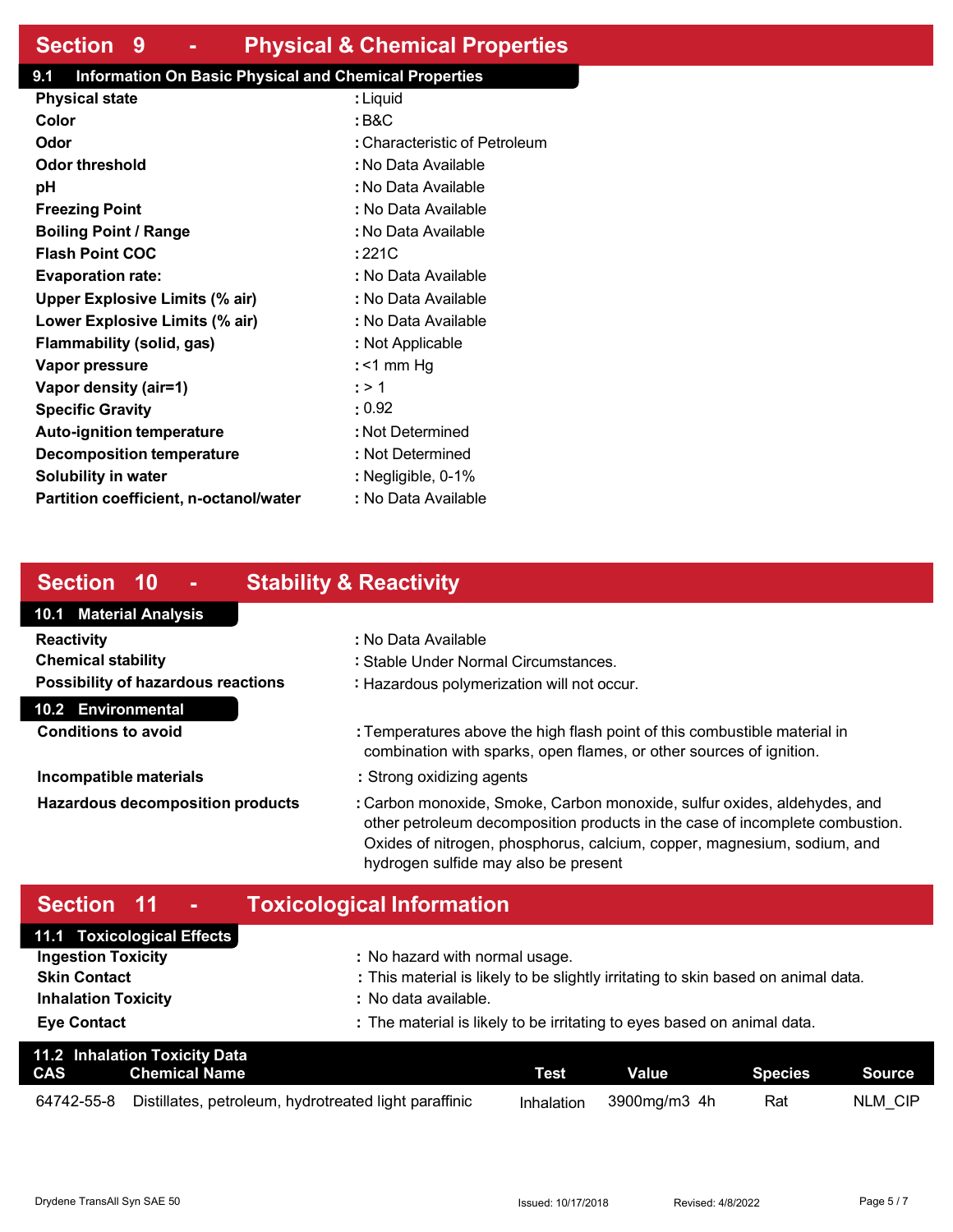## **Section 9 - Physical & Chemical Properties**

### **9.1 Information On Basic Physical and Chemical Properties**

| <b>Physical state</b>                  | : Liquid                      |
|----------------------------------------|-------------------------------|
| Color                                  | : B&C                         |
| Odor                                   | : Characteristic of Petroleum |
| Odor threshold                         | : No Data Available           |
| рH                                     | : No Data Available           |
| <b>Freezing Point</b>                  | : No Data Available           |
| <b>Boiling Point / Range</b>           | : No Data Available           |
| <b>Flash Point COC</b>                 | : 221C                        |
| <b>Evaporation rate:</b>               | : No Data Available           |
| <b>Upper Explosive Limits (% air)</b>  | : No Data Available           |
| Lower Explosive Limits (% air)         | : No Data Available           |
| Flammability (solid, gas)              | : Not Applicable              |
| Vapor pressure                         | : <1 mm Hq                    |
| Vapor density (air=1)                  | : > 1                         |
| <b>Specific Gravity</b>                | $\cdot$ 0.92                  |
| <b>Auto-ignition temperature</b>       | : Not Determined              |
| Decomposition temperature              | : Not Determined              |
| Solubility in water                    | : Negligible, 0-1%            |
| Partition coefficient, n-octanol/water | : No Data Available           |

# **Section 10 - Stability & Reactivity**

### **10.1 Material Analysis 10.2 Environmental Reactivity :** No Data Available **Chemical stability :** Stable Under Normal Circumstances. **Possibility of hazardous reactions :** Hazardous polymerization will not occur. **Conditions to avoid by <b>E : Temperatures above the high flash point of this combustible material in** combination with sparks, open flames, or other sources of ignition. **Incompatible materials incompatible materials incompatible materials Hazardous decomposition products :** Carbon monoxide, Smoke, Carbon monoxide, sulfur oxides, aldehydes, and other petroleum decomposition products in the case of incomplete combustion. Oxides of nitrogen, phosphorus, calcium, copper, magnesium, sodium, and

# **Section 11 - Toxicological Information**

| 11.1 Toxicological Effects |                                                                                   |
|----------------------------|-----------------------------------------------------------------------------------|
| <b>Ingestion Toxicity</b>  | : No hazard with normal usage.                                                    |
| <b>Skin Contact</b>        | : This material is likely to be slightly irritating to skin based on animal data. |
| <b>Inhalation Toxicity</b> | : No data available.                                                              |
| <b>Eye Contact</b>         | : The material is likely to be irritating to eyes based on animal data.           |

hydrogen sulfide may also be present

| CAS        | 11.2 Inhalation Toxicity Data<br>Chemical Name        | Test       | Value        | Species | $\blacktriangleright$ Source $\blacktriangleright$ |
|------------|-------------------------------------------------------|------------|--------------|---------|----------------------------------------------------|
| 64742-55-8 | Distillates, petroleum, hydrotreated light paraffinic | Inhalation | 3900ma/m3_4h | Rat     | NLM CIP                                            |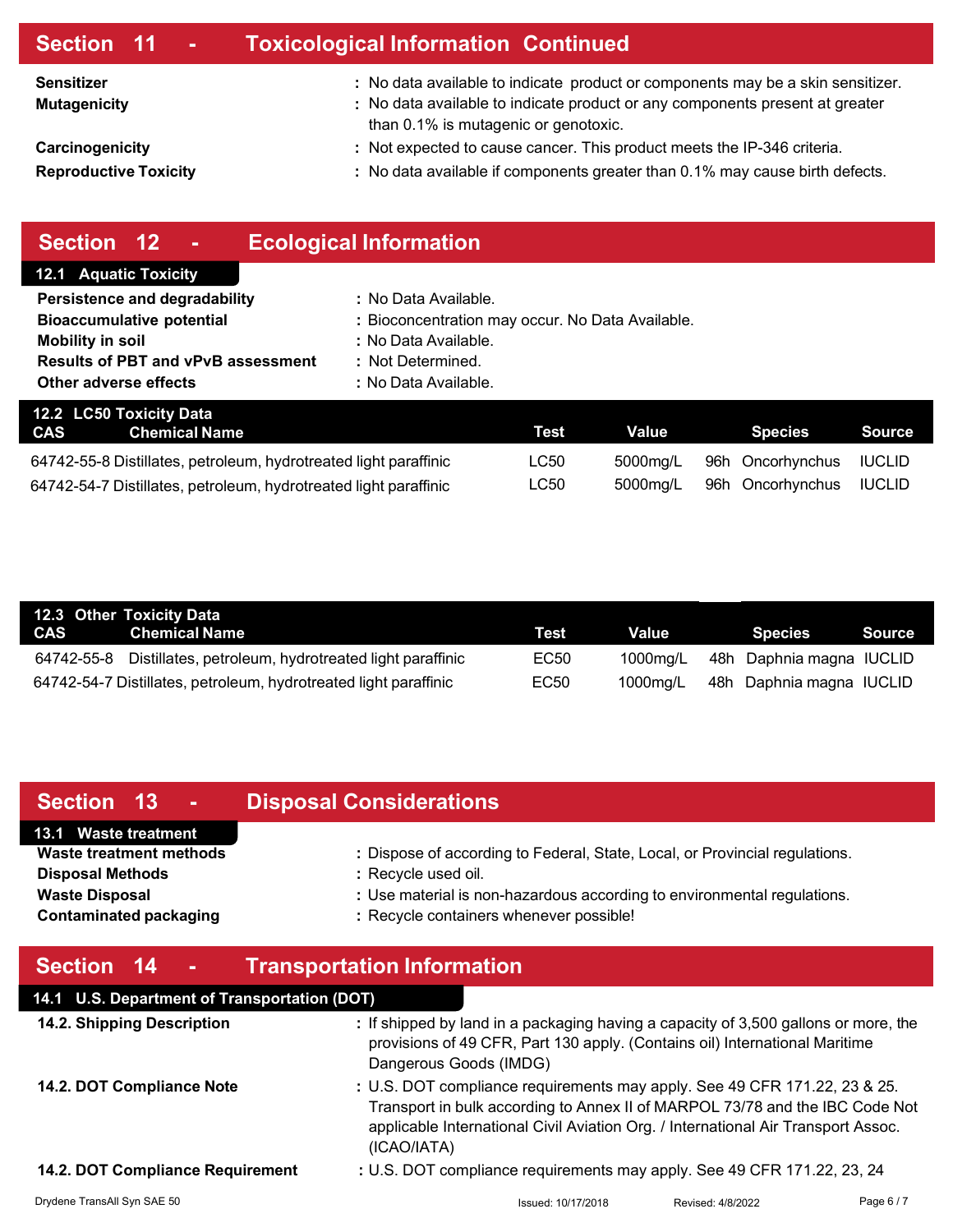| Section 11 -                                    | <b>Toxicological Information Continued</b>                                                                                                                                                              |
|-------------------------------------------------|---------------------------------------------------------------------------------------------------------------------------------------------------------------------------------------------------------|
| <b>Sensitizer</b><br><b>Mutagenicity</b>        | : No data available to indicate product or components may be a skin sensitizer.<br>: No data available to indicate product or any components present at greater<br>than 0.1% is mutagenic or genotoxic. |
| Carcinogenicity<br><b>Reproductive Toxicity</b> | : Not expected to cause cancer. This product meets the IP-346 criteria.<br>: No data available if components greater than 0.1% may cause birth defects.                                                 |
|                                                 |                                                                                                                                                                                                         |

| Section 12<br>$\sim$                                             | <b>Ecological Information</b>                    |             |              |                     |               |
|------------------------------------------------------------------|--------------------------------------------------|-------------|--------------|---------------------|---------------|
| <b>12.1 Aquatic Toxicity</b>                                     |                                                  |             |              |                     |               |
| Persistence and degradability                                    | : No Data Available.                             |             |              |                     |               |
| <b>Bioaccumulative potential</b>                                 | : Bioconcentration may occur. No Data Available. |             |              |                     |               |
| <b>Mobility in soil</b>                                          | : No Data Available.                             |             |              |                     |               |
| <b>Results of PBT and vPvB assessment</b>                        | : Not Determined.                                |             |              |                     |               |
| Other adverse effects                                            | : No Data Available.                             |             |              |                     |               |
| 12.2 LC50 Toxicity Data                                          |                                                  |             |              |                     |               |
| <b>CAS</b><br><b>Chemical Name</b>                               |                                                  | <b>Test</b> | <b>Value</b> | <b>Species</b>      | <b>Source</b> |
| 64742-55-8 Distillates, petroleum, hydrotreated light paraffinic |                                                  | LC50        | 5000mg/L     | 96h Oncorhynchus    | <b>IUCLID</b> |
| 64742-54-7 Distillates, petroleum, hydrotreated light paraffinic |                                                  | LC50        | 5000mg/L     | Oncorhynchus<br>96h | <b>IUCLID</b> |

|            | 12.3 Other Toxicity Data                                         |             |          |                                   |        |
|------------|------------------------------------------------------------------|-------------|----------|-----------------------------------|--------|
| <b>CAS</b> | <b>Chemical Name</b>                                             | <b>Test</b> | Value    | <b>Species</b>                    | Source |
|            | 64742-55-8 Distillates, petroleum, hydrotreated light paraffinic | EC50        |          | 1000mg/L 48h Daphnia magna IUCLID |        |
|            | 64742-54-7 Distillates, petroleum, hydrotreated light paraffinic | EC50        | 1000mg/L | 48h Daphnia magna IUCLID          |        |

| Section 13 -                                           | <b>Disposal Considerations</b>                                                                                     |
|--------------------------------------------------------|--------------------------------------------------------------------------------------------------------------------|
| 13.1 Waste treatment<br>Waste treatment methods        | : Dispose of according to Federal, State, Local, or Provincial regulations.                                        |
| <b>Disposal Methods</b>                                | : Recycle used oil.                                                                                                |
| <b>Waste Disposal</b><br><b>Contaminated packaging</b> | : Use material is non-hazardous according to environmental regulations.<br>: Recycle containers whenever possible! |

| Section 14<br><b>Contract</b>                | <b>Transportation Information</b>                                                                                                                                                                                                                             |                   |          |
|----------------------------------------------|---------------------------------------------------------------------------------------------------------------------------------------------------------------------------------------------------------------------------------------------------------------|-------------------|----------|
| 14.1 U.S. Department of Transportation (DOT) |                                                                                                                                                                                                                                                               |                   |          |
| 14.2. Shipping Description                   | : If shipped by land in a packaging having a capacity of 3,500 gallons or more, the<br>provisions of 49 CFR, Part 130 apply. (Contains oil) International Maritime<br>Dangerous Goods (IMDG)                                                                  |                   |          |
| 14.2. DOT Compliance Note                    | : U.S. DOT compliance requirements may apply. See 49 CFR 171.22, 23 & 25.<br>Transport in bulk according to Annex II of MARPOL 73/78 and the IBC Code Not<br>applicable International Civil Aviation Org. / International Air Transport Assoc.<br>(ICAO/IATA) |                   |          |
| 14.2. DOT Compliance Requirement             | : U.S. DOT compliance requirements may apply. See 49 CFR 171.22, 23, 24                                                                                                                                                                                       |                   |          |
| Drydene TransAll Syn SAE 50                  | Issued: 10/17/2018                                                                                                                                                                                                                                            | Revised: 4/8/2022 | Page 6/7 |